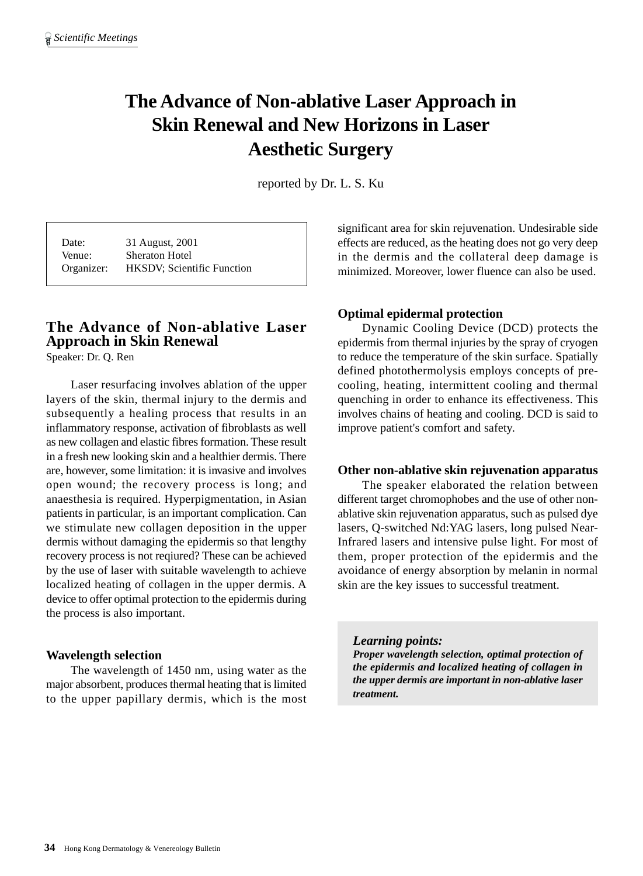# **The Advance of Non-ablative Laser Approach in Skin Renewal and New Horizons in Laser Aesthetic Surgery**

reported by Dr. L. S. Ku

Date: 31 August, 2001 Venue: Sheraton Hotel Organizer: HKSDV; Scientific Function

## **The Advance of Non-ablative Laser Approach in Skin Renewal**

Speaker: Dr. Q. Ren

Laser resurfacing involves ablation of the upper layers of the skin, thermal injury to the dermis and subsequently a healing process that results in an inflammatory response, activation of fibroblasts as well as new collagen and elastic fibres formation. These result in a fresh new looking skin and a healthier dermis. There are, however, some limitation: it is invasive and involves open wound; the recovery process is long; and anaesthesia is required. Hyperpigmentation, in Asian patients in particular, is an important complication. Can we stimulate new collagen deposition in the upper dermis without damaging the epidermis so that lengthy recovery process is not reqiured? These can be achieved by the use of laser with suitable wavelength to achieve localized heating of collagen in the upper dermis. A device to offer optimal protection to the epidermis during the process is also important.

## **Wavelength selection**

The wavelength of 1450 nm, using water as the major absorbent, produces thermal heating that is limited to the upper papillary dermis, which is the most significant area for skin rejuvenation. Undesirable side effects are reduced, as the heating does not go very deep in the dermis and the collateral deep damage is minimized. Moreover, lower fluence can also be used.

## **Optimal epidermal protection**

Dynamic Cooling Device (DCD) protects the epidermis from thermal injuries by the spray of cryogen to reduce the temperature of the skin surface. Spatially defined photothermolysis employs concepts of precooling, heating, intermittent cooling and thermal quenching in order to enhance its effectiveness. This involves chains of heating and cooling. DCD is said to improve patient's comfort and safety.

## **Other non-ablative skin rejuvenation apparatus**

The speaker elaborated the relation between different target chromophobes and the use of other nonablative skin rejuvenation apparatus, such as pulsed dye lasers, Q-switched Nd:YAG lasers, long pulsed Near-Infrared lasers and intensive pulse light. For most of them, proper protection of the epidermis and the avoidance of energy absorption by melanin in normal skin are the key issues to successful treatment.

*Learning points:*

*Proper wavelength selection, optimal protection of the epidermis and localized heating of collagen in the upper dermis are important in non-ablative laser treatment.*